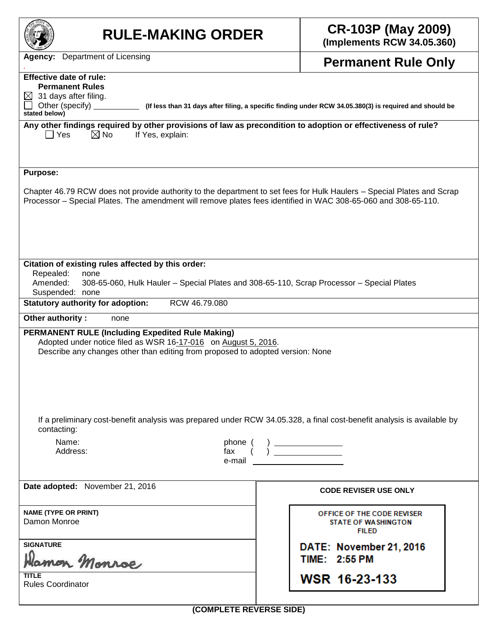| <b>RULE-MAKING ORDER</b>                                                                                                                                                                                                                                         | <b>CR-103P (May 2009)</b><br>(Implements RCW 34.05.360)                                                 |
|------------------------------------------------------------------------------------------------------------------------------------------------------------------------------------------------------------------------------------------------------------------|---------------------------------------------------------------------------------------------------------|
| <b>Agency:</b> Department of Licensing                                                                                                                                                                                                                           | <b>Permanent Rule Only</b>                                                                              |
| <b>Effective date of rule:</b><br><b>Permanent Rules</b><br>31 days after filing.<br>⊠<br>Other (specify)<br>stated below)                                                                                                                                       | (If less than 31 days after filing, a specific finding under RCW 34.05.380(3) is required and should be |
| Any other findings required by other provisions of law as precondition to adoption or effectiveness of rule?<br>$\boxtimes$ No<br>$\Box$ Yes<br>If Yes, explain:                                                                                                 |                                                                                                         |
| <b>Purpose:</b><br>Chapter 46.79 RCW does not provide authority to the department to set fees for Hulk Haulers – Special Plates and Scrap<br>Processor - Special Plates. The amendment will remove plates fees identified in WAC 308-65-060 and 308-65-110.      |                                                                                                         |
| Citation of existing rules affected by this order:<br>Repealed:<br>none<br>Amended:<br>308-65-060, Hulk Hauler - Special Plates and 308-65-110, Scrap Processor - Special Plates<br>Suspended: none<br>RCW 46.79.080<br><b>Statutory authority for adoption:</b> |                                                                                                         |
| Other authority:<br>none                                                                                                                                                                                                                                         |                                                                                                         |
| <b>PERMANENT RULE (Including Expedited Rule Making)</b><br>Adopted under notice filed as WSR 16-17-016 on August 5, 2016.<br>Describe any changes other than editing from proposed to adopted version: None                                                      |                                                                                                         |
| If a preliminary cost-benefit analysis was prepared under RCW 34.05.328, a final cost-benefit analysis is available by<br>contacting:<br>Name:<br>phone (<br>Address:<br>fax<br>e-mail                                                                           |                                                                                                         |
| Date adopted: November 21, 2016                                                                                                                                                                                                                                  | <b>CODE REVISER USE ONLY</b>                                                                            |
| <b>NAME (TYPE OR PRINT)</b><br>Damon Monroe                                                                                                                                                                                                                      | OFFICE OF THE CODE REVISER<br><b>STATE OF WASHINGTON</b><br><b>FILED</b>                                |
| <b>SIGNATURE</b><br>lamon Monroe                                                                                                                                                                                                                                 | DATE: November 21, 2016<br>TIME: 2:55 PM                                                                |
| <b>TITLE</b><br><b>Rules Coordinator</b>                                                                                                                                                                                                                         | WSR 16-23-133                                                                                           |
| (COMPLETE REVERSE SIDE)                                                                                                                                                                                                                                          |                                                                                                         |